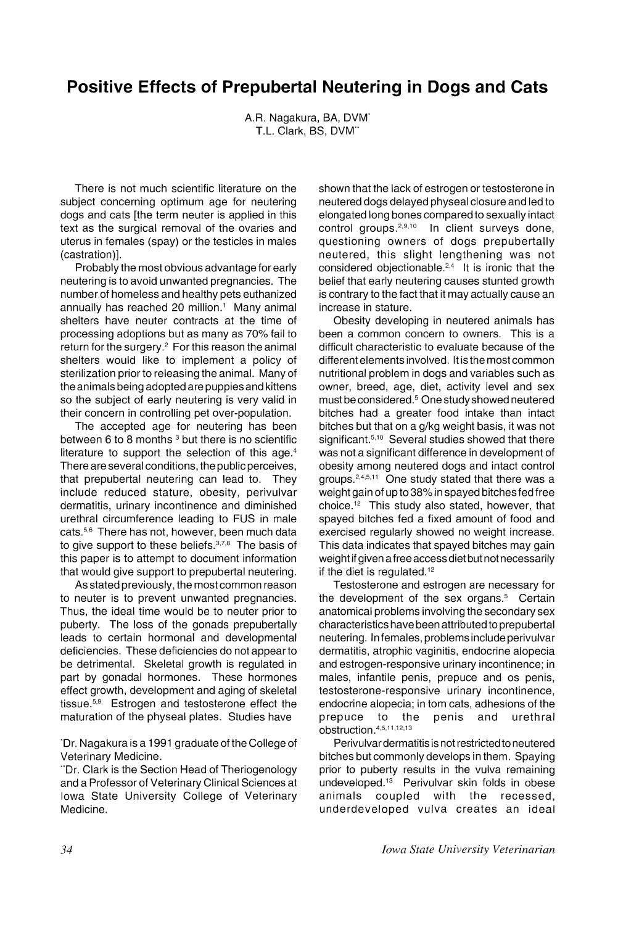## **Positive Effects of Prepubertal Neutering in Dogs and Cats**

A.R. Nagakura, SA, DVM\* T.L. Clark, BS, DVM\*\*

There is not much scientific literature on the subject concerning optimum age for neutering dogs and cats [the term neuter is applied in this text as the surgical removal of the ovaries and uterus in females (spay) or the testicles in males (castration)].

Probably the most obvious advantage for early neutering is to avoid unwanted pregnancies. The number of homeless and healthy pets euthanized annually has reached 20 million.<sup>1</sup> Many animal shelters have neuter contracts at the time of processing adoptions but as many as 70% fail to return for the surgery.<sup>2</sup> For this reason the animal shelters would like to implement a policy of sterilization prior to releasing the animal. Many of the animals being adopted are puppies and kittens so the subject of early neutering is very valid in their concern in controlling pet over-population.

The accepted age for neutering has been between 6 to 8 months  $3$  but there is no scientific literature to support the selection of this age.<sup>4</sup> There are several conditions, the public perceives, that prepubertal neutering can lead to. They include reduced stature, obesity, perivulvar dermatitis, urinary incontinence and diminished urethral circumference leading to FUS in male cats.<sup>5,6</sup> There has not, however, been much data to give support to these beliefs.<sup>3,7,8</sup> The basis of this paper is to attempt to document information that would give support to prepubertal neutering.

As stated previously, the most common reason to neuter is to prevent unwanted pregnancies. Thus, the ideal time would be to neuter prior to puberty. The loss of the gonads prepubertally leads to certain hormonal and developmental deficiencies. These deficiencies do not appear to be detrimental. Skeletal growth is regulated in part by gonadal hormones. These hormones effect growth, development and aging of skeletal tissue.<sup>5,9</sup> Estrogen and testosterone effect the maturation of the physeal plates. Studies have

\*Dr. Nagakura is a 1991 graduate of the College of Veterinary Medicine.

Dr. Clark is the Section Head of Theriogenology and a Professor of Veterinary Clinical Sciences at Iowa State University College of Veterinary Medicine.

shown that the lack of estrogen or testosterone in neutered dogs delayed physeal closure and led to elongated long bones compared to sexually intact control groups.2,9,10 In client surveys done, questioning owners of dogs prepubertally neutered, this slight lengthening was not considered objectionable. $2,4$  It is ironic that the belief that early neutering causes stunted growth is contrary to the fact that it may actually cause an increase in stature.

Obesity developing in neutered animals has been a common concern to owners. This is a difficult characteristic to evaluate because of the different elements involved. It is the most common nutritional problem in dogs and variables such as owner, breed, age, diet, activity level and sex must be considered. <sup>5</sup> One study showed neutered bitches had a greater food intake than intact bitches but that on a g/kg weight basis, it was not significant.<sup>5,10</sup> Several studies showed that there was not a significant difference in development of obesity among neutered dogs and intact control groups.2,4,5,11 One study stated that there was a weight gain of up to 38% in spayed bitches fed free choice. <sup>12</sup> This study also stated, however, that spayed bitches fed a fixed amount of food and exercised regularly showed no weight increase. This data indicates that spayed bitches may gain weight if given a free access diet but not necessarily if the diet is regulated.<sup>12</sup>

Testosterone and estrogen are necessary for the development of the sex organs.<sup>5</sup> Certain anatomical problems involving the secondary sex characteristics have been attributed to prepubertal neutering. In females, problems include perivulvar dermatitis, atrophic vaginitis, endocrine alopecia and estrogen-responsive urinary incontinence; in males, infantile penis, prepuce and os penis, testosterone-responsive urinary incontinence, endocrine alopecia; in tom cats, adhesions of the<br>prepuce to the penis and urethral prepuce to the penis and urethral obstruction.4,5,11,12,13

Perivulvar dermatitis is not restricted to neutered bitches but commonly develops in them. Spaying prior to puberty results in the vulva remaining undeveloped.<sup>13</sup> Perivulvar skin folds in obese<br>animals coupled with the recessed, animals coupled with the recessed, underdeveloped vulva creates an ideal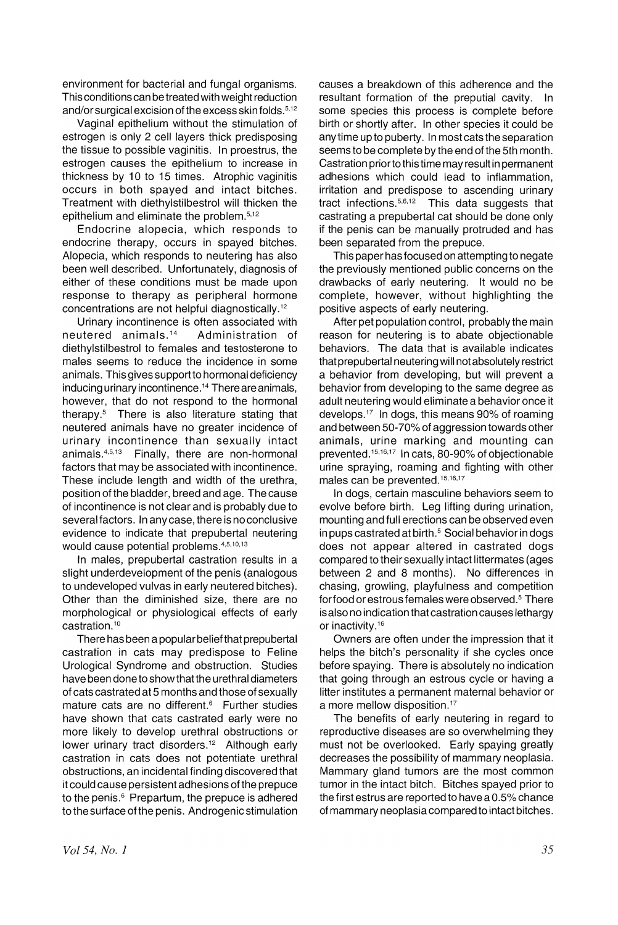environment for bacterial and fungal organisms. This conditions can be treated with weight reduction and/or surgical excision of the excess skin folds.<sup>5,12</sup>

Vaginal epithelium without the stimulation of estrogen is only 2 cell layers thick predisposing the tissue to possible vaginitis. In proestrus, the estrogen causes the epithelium to increase in thickness by 10 to 15 times. Atrophic vaginitis occurs in both spayed and intact bitches. Treatment with diethylstilbestrol will thicken the epithelium and eliminate the problem.5,12

Endocrine alopecia, which responds to endocrine therapy, occurs in spayed bitches. Alopecia, which responds to neutering has also been well described. Unfortunately, diagnosis of either of these conditions must be made upon response to therapy as peripheral hormone concentrations are not helpful diagnostically.12

Urinary incontinence is often associated with neutered animals. <sup>14</sup> Administration of diethylstilbestrol to females and testosterone to males seems to reduce the incidence in some animals. This gives support to hormonal deficiency inducing urinary incontinence.14 There are animals, however, that do not respond to the hormonal therapy.5 There is also literature stating that neutered animals have no greater incidence of urinary incontinence than sexually intact animals.4,5,13 Finally, there are non-hormonal factors that may be associated with incontinence. These include length and width of the urethra, position of the bladder, breed and age. The cause of incontinence is not clear and is probably due to several factors. In any case, there is no conclusive evidence to indicate that prepubertal neutering would cause potential problems.4,5,1o,13

In males, prepubertal castration results in a slight underdevelopment of the penis (analogous to undeveloped vulvas in early neutered bitches). Other than the diminished size, there are no morphological or physiological effects of early castration. <sup>10</sup>

There has been a popularbeliefthat prepubertal castration in cats may predispose to Feline Urological Syndrome and obstruction. Studies have been done to show that the urethral diameters of cats castrated at 5 months and those of sexually mature cats are no different. $6$  Further studies have shown that cats castrated early were no more likely to develop urethral obstructions or lower urinary tract disorders.<sup>12</sup> Although early castration in cats does not potentiate urethral obstructions, an incidental finding discovered that it could cause persistent adhesions of the prepuce to the penis.<sup>6</sup> Prepartum, the prepuce is adhered to the surface of the penis. Androgenic stimulation causes a breakdown of this adherence and the resultant formation of the preputial cavity. In some species this process is complete before birth or shortly after. In other species it could be anytime up to puberty. In most cats the separation seems to be complete by the end of the 5th month. Castration priorto this time may result in permanent adhesions which could lead to inflammation, irritation and predispose to ascending urinary<br>tract infections.<sup>5,6,12</sup> This data suggests that This data suggests that castrating a prepubertal cat should be done only if the penis can be manually protruded and has been separated from the prepuce.

This paper has focused on attempting to negate the previously mentioned public concerns on the drawbacks of early neutering. It would no be complete, however, without highlighting the positive aspects of early neutering.

After pet population control, probably the main reason for neutering is to abate objectionabie behaviors. The data that is available indicates that prepubertal neutering will notabsolutely restrict a behavior from developing, but will prevent a behavior from developing to the same degree as adult neutering would eliminate a behavior once it develops. $17$  In dogs, this means 90% of roaming and between 50-70% of aggression towards other animals, urine marking and mounting can prevented. 15,16,17 In cats, 80-90% of objectionable urine spraying, roaming and fighting with other males can be prevented. 15,16,17

In dogs, certain masculine behaviors seem to evolve before birth. Leg lifting during urination, mounting and full erections can be observed even in pups castrated at birth.<sup>5</sup> Social behavior in dogs does not appear altered in castrated dogs compared to their sexually intact littermates (ages between 2 and 8 months). No differences in chasing, growling, playfulness and competition for food or estrous females were observed.<sup>5</sup> There is also no indication that castration causes lethargy or inactivity.16

Owners are often under the impression that it helps the bitch's personality if she cycles once before spaying. There is absolutely no indication that going through an estrous cycle or having a litter institutes a permanent maternal behavior or a more mellow disposition.<sup>17</sup>

The benefits of early neutering in regard to reproductive diseases are so overwhelming they must not be overlooked. Early spaying greatly decreases the possibility of mammary neoplasia. Mammary gland tumors are the most common tumor in the intact bitch. Bitches spayed prior to the first estrus are reported to have a 0.5% chance of mammary neoplasia compared to intact bitches.